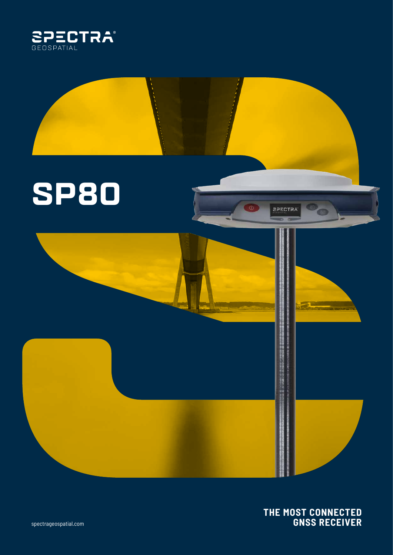

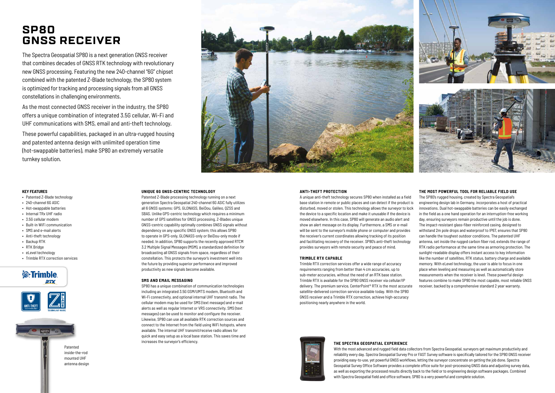# **SP80 GNSS RECEIVER**

# **UNIQUE 6G GNSS-CENTRIC TECHNOLOGY**

Patented Z-Blade processing technology running on a next generation Spectra Geospatial 240-channel 6G ASIC fully utilizes all 6 GNSS systems: GPS, GLONASS, BeiDou, Galileo, QZSS and SBAS. Unlike GPS-centric technology which requires a minimum number of GPS satellites for GNSS processing, Z-Blades unique GNSS-centric capability optimally combines GNSS signals without dependency on any specific GNSS system; this allows SP80 to operate in GPS-only, GLONASS-only or BeiDou-only mode if needed. In addition, SP80 supports the recently approved RTCM 3.2 Multiple Signal Messages (MSM), a standardized definition for broadcasting all GNSS signals from space, regardless of their constellation. This protects the surveyor's investment well into the future by providing superior performance and improved productivity as new signals become available.

# **SMS AND EMAIL MESSAGING**

SP80 has a unique combination of communication technologies including an integrated 3.5G GSM/UMTS modem, Bluetooth and Wi-Fi connectivity, and optional internal UHF transmit radio. The cellular modem may be used for SMS (text message) and e-mail alerts as well as regular Internet or VRS connectivity. SMS (text messages) can be used to monitor and configure the receiver. Likewise, SP80 can use all available RTK correction sources and connect to the Internet from the field using WiFi hotspots, where available. The internal UHF transmit/receive radio allows for quick and easy setup as a local base station. This saves time and increases the surveyor's efficiency.

# **ANTI-THEFT PROTECTION**

satellite-delivered correction service available today. With the SP80 GNSS receiver and a Trimble RTX correction, achieve high-accuracy positioning nearly anywhere in the world.



A unique anti-theft technology secures SP80 when installed as a field base station in remote or public places and can detect if the product is disturbed, moved or stolen. This technology allows the surveyor to lock the device to a specific location and make it unusable if the device is moved elsewhere. In this case, SP80 will generate an audio alert and show an alert message on its display. Furthermore, a SMS or e-mail will be sent to the surveyor's mobile phone or computer and provides the receiver's current coordinates allowing tracking of its position and facilitating recovery of the receiver. SP80's anti-theft technology provides surveyors with remote security and peace of mind. **TRIMBLE RTX CAPABLE** Trimble RTX correction services offer a wide range of accuracy requirements ranging from better than 4 cm accuracies, up to sub-meter accuracies, without the need of an RTK base station. Trimble RTX is available for the SP80 GNSS receiver via cellular/IP delivery. The premium service, CenterPoint® RTX is the most accurate The SP80's rugged housing, created by Spectra Geospatial's engineering design lab in Germany, incorporates a host of practical innovations. Dual hot-swappable batteries can be easily exchanged in the field as a one hand operation for an interruption-free working day, ensuring surveyors remain productive until the job is done. The impact-resistant glass-fiber reinforced casing, designed to withstand 2m pole drops and waterproof to IP67, ensures that SP80 can handle the toughest outdoor conditions. The patented UHF antenna, set inside the rugged carbon fiber rod, extends the range of RTK radio performance at the same time as armoring protection. The sunlight-readable display offers instant access to key information like the number of satellites, RTK status, battery charge and available memory. With eLevel technology, the user is able to focus in one place when leveling and measuring as well as automatically store measurements when the receiver is level. These powerful design features combine to make SP80 the most capable, most reliable GNSS receiver, backed by a comprehensive standard 2 year warranty.

# **THE MOST POWERFUL TOOL FOR RELIABLE FIELD USE**

The Spectra Geospatial SP80 is a next generation GNSS receiver that combines decades of GNSS RTK technology with revolutionary new GNSS processing. Featuring the new 240-channel "6G" chipset combined with the patented Z-Blade technology, the SP80 system is optimized for tracking and processing signals from all GNSS constellations in challenging environments.

As the most connected GNSS receiver in the industry, the SP80 offers a unique combination of integrated 3.5G cellular, Wi-Fi and UHF communications with SMS, email and anti-theft technology.

These powerful capabilities, packaged in an ultra-rugged housing and patented antenna design with unlimited operation time (hot-swappable batteries), make SP80 an extremely versatile turnkey solution.



# **KEY FEATURES**

- Patented Z-Blade technology
- 240-channel 6G ASIC
- Hot-swappable batteries
- Internal TRx UHF radio
- 3.5G cellular modem
- Built-in WiFi communication
- SMS and e-mail alerts
- Anti-theft technology
- Backup RTK
- RTK Bridge
- eLevel technology
- Trimble RTX correction services







mounted UHF antenna design

# **THE SPECTRA GEOSPATIAL EXPERIENCE**

With the most advanced and rugged field data collectors from Spectra Geospatial, surveyors get maximum productivity and reliability every day. Spectra Geospatial Survey Pro or FAST Survey software is specifically tailored for the SP80 GNSS receiver providing easy-to-use, yet powerful GNSS workflows, letting the surveyor concentrate on getting the job done. Spectra Geospatial Survey Office Software provides a complete office suite for post-processing GNSS data and adjusting survey data, as well as exporting the processed results directly back to the field or to engineering design software packages. Combined with Spectra Geospatial field and office software, SP80 is a very powerful and complete solution.